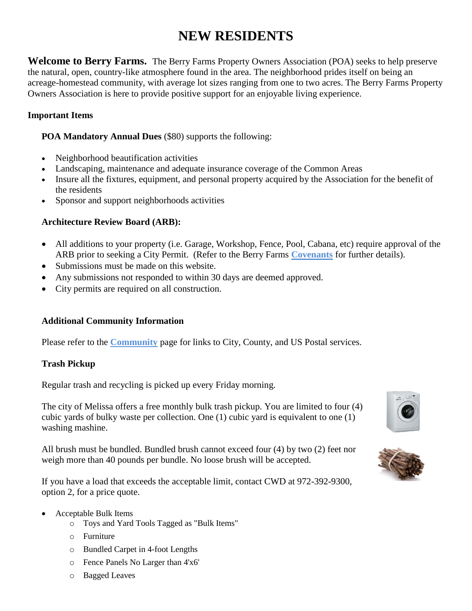## **NEW RESIDENTS**

**Welcome to Berry Farms.** The Berry Farms Property Owners Association (POA) seeks to help preserve the natural, open, country-like atmosphere found in the area. The neighborhood prides itself on being an acreage-homestead community, with average lot sizes ranging from one to two acres. The Berry Farms Property Owners Association is here to provide positive support for an enjoyable living experience.

#### **Important Items**

**POA Mandatory Annual Dues** (\$80) supports the following:

- Neighborhood beautification activities
- Landscaping, maintenance and adequate insurance coverage of the Common Areas
- Insure all the fixtures, equipment, and personal property acquired by the Association for the benefit of the residents
- Sponsor and support neighborhoods activities

#### **Architecture Review Board (ARB):**

- All additions to your property (i.e. Garage, Workshop, Fence, Pool, Cabana, etc) require approval of the ARB prior to seeking a City Permit. (Refer to the Berry Farms **Covenants** for further details).
- Submissions must be made on this website.
- Any submissions not responded to within 30 days are deemed approved.
- City permits are required on all construction.

#### **Additional Community Information**

Please refer to the **Community** page for links to City, County, and US Postal services.

#### **Trash Pickup**

Regular trash and recycling is picked up every Friday morning.

The city of Melissa offers a free monthly bulk trash pickup. You are limited to four (4) cubic yards of bulky waste per collection. One (1) cubic yard is equivalent to one (1) washing mashine.

All brush must be bundled. Bundled brush cannot exceed four (4) by two (2) feet nor weigh more than 40 pounds per bundle. No loose brush will be accepted.

If you have a load that exceeds the acceptable limit, contact CWD at 972-392-9300, option 2, for a price quote.

- Acceptable Bulk Items
	- o Toys and Yard Tools Tagged as "Bulk Items"
	- o Furniture
	- o Bundled Carpet in 4-foot Lengths
	- o Fence Panels No Larger than 4'x6'
	- o Bagged Leaves